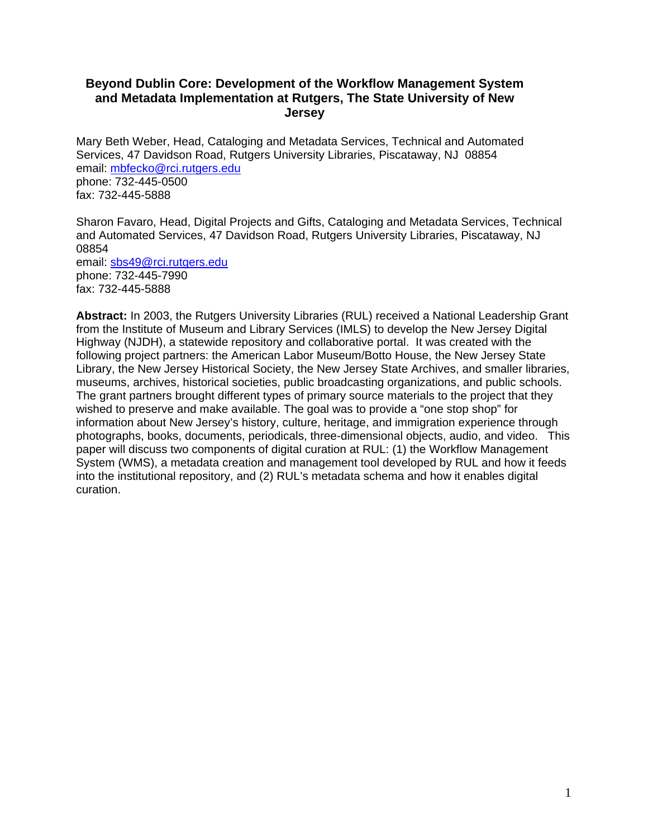### **Beyond Dublin Core: Development of the Workflow Management System and Metadata Implementation at Rutgers, The State University of New Jersey**

Mary Beth Weber, Head, Cataloging and Metadata Services, Technical and Automated Services, 47 Davidson Road, Rutgers University Libraries, Piscataway, NJ 08854 email: [mbfecko@rci.rutgers.edu](mailto:mbfecko@rci.rutgers.edu)  phone: 732-445-0500 fax: 732-445-5888

Sharon Favaro, Head, Digital Projects and Gifts, Cataloging and Metadata Services, Technical and Automated Services, 47 Davidson Road, Rutgers University Libraries, Piscataway, NJ 08854 email: [sbs49@rci.rutgers.edu](mailto:sbs49@rci.rutgers.edu) phone: 732-445-7990 fax: 732-445-5888

**Abstract:** In 2003, the Rutgers University Libraries (RUL) received a National Leadership Grant from the Institute of Museum and Library Services (IMLS) to develop the New Jersey Digital Highway (NJDH), a statewide repository and collaborative portal. It was created with the following project partners: the American Labor Museum/Botto House, the New Jersey State Library, the New Jersey Historical Society, the New Jersey State Archives, and smaller libraries, museums, archives, historical societies, public broadcasting organizations, and public schools. The grant partners brought different types of primary source materials to the project that they wished to preserve and make available. The goal was to provide a "one stop shop" for information about New Jersey's history, culture, heritage, and immigration experience through photographs, books, documents, periodicals, three-dimensional objects, audio, and video. This paper will discuss two components of digital curation at RUL: (1) the Workflow Management System (WMS), a metadata creation and management tool developed by RUL and how it feeds into the institutional repository, and (2) RUL's metadata schema and how it enables digital curation.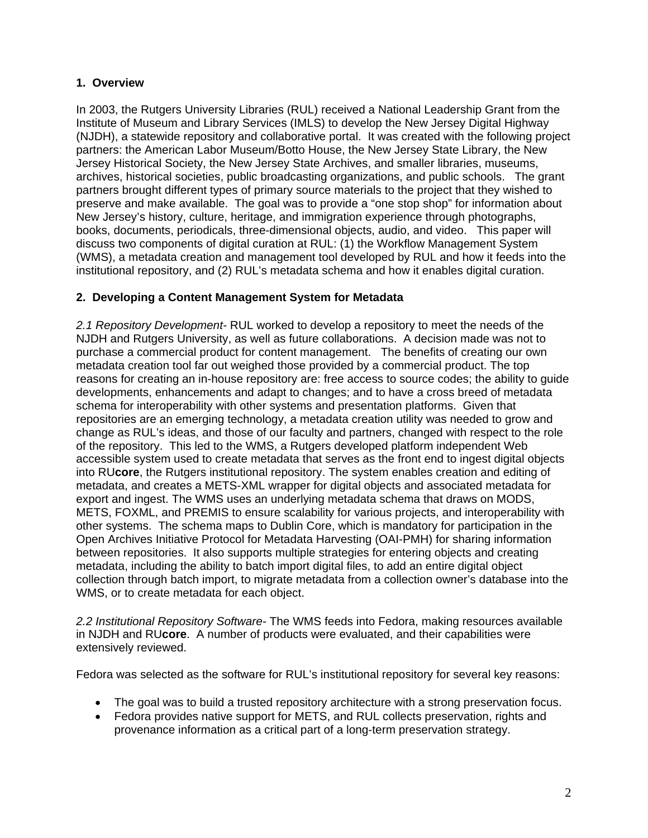### **1. Overview**

In 2003, the Rutgers University Libraries (RUL) received a National Leadership Grant from the Institute of Museum and Library Services (IMLS) to develop the New Jersey Digital Highway (NJDH), a statewide repository and collaborative portal. It was created with the following project partners: the American Labor Museum/Botto House, the New Jersey State Library, the New Jersey Historical Society, the New Jersey State Archives, and smaller libraries, museums, archives, historical societies, public broadcasting organizations, and public schools. The grant partners brought different types of primary source materials to the project that they wished to preserve and make available. The goal was to provide a "one stop shop" for information about New Jersey's history, culture, heritage, and immigration experience through photographs, books, documents, periodicals, three-dimensional objects, audio, and video. This paper will discuss two components of digital curation at RUL: (1) the Workflow Management System (WMS), a metadata creation and management tool developed by RUL and how it feeds into the institutional repository, and (2) RUL's metadata schema and how it enables digital curation.

### **2. Developing a Content Management System for Metadata**

*2.1 Repository Development-* RUL worked to develop a repository to meet the needs of the NJDH and Rutgers University, as well as future collaborations. A decision made was not to purchase a commercial product for content management. The benefits of creating our own metadata creation tool far out weighed those provided by a commercial product. The top reasons for creating an in-house repository are: free access to source codes; the ability to guide developments, enhancements and adapt to changes; and to have a cross breed of metadata schema for interoperability with other systems and presentation platforms. Given that repositories are an emerging technology, a metadata creation utility was needed to grow and change as RUL's ideas, and those of our faculty and partners, changed with respect to the role of the repository. This led to the WMS, a Rutgers developed platform independent Web accessible system used to create metadata that serves as the front end to ingest digital objects into RU**core**, the Rutgers institutional repository. The system enables creation and editing of metadata, and creates a METS-XML wrapper for digital objects and associated metadata for export and ingest. The WMS uses an underlying metadata schema that draws on MODS, METS, FOXML, and PREMIS to ensure scalability for various projects, and interoperability with other systems. The schema maps to Dublin Core, which is mandatory for participation in the Open Archives Initiative Protocol for Metadata Harvesting (OAI-PMH) for sharing information between repositories. It also supports multiple strategies for entering objects and creating metadata, including the ability to batch import digital files, to add an entire digital object collection through batch import, to migrate metadata from a collection owner's database into the WMS, or to create metadata for each object.

*2.2 Institutional Repository Software-* The WMS feeds into Fedora, making resources available in NJDH and RU**core**. A number of products were evaluated, and their capabilities were extensively reviewed.

Fedora was selected as the software for RUL's institutional repository for several key reasons:

- The goal was to build a trusted repository architecture with a strong preservation focus.
- Fedora provides native support for METS, and RUL collects preservation, rights and provenance information as a critical part of a long-term preservation strategy.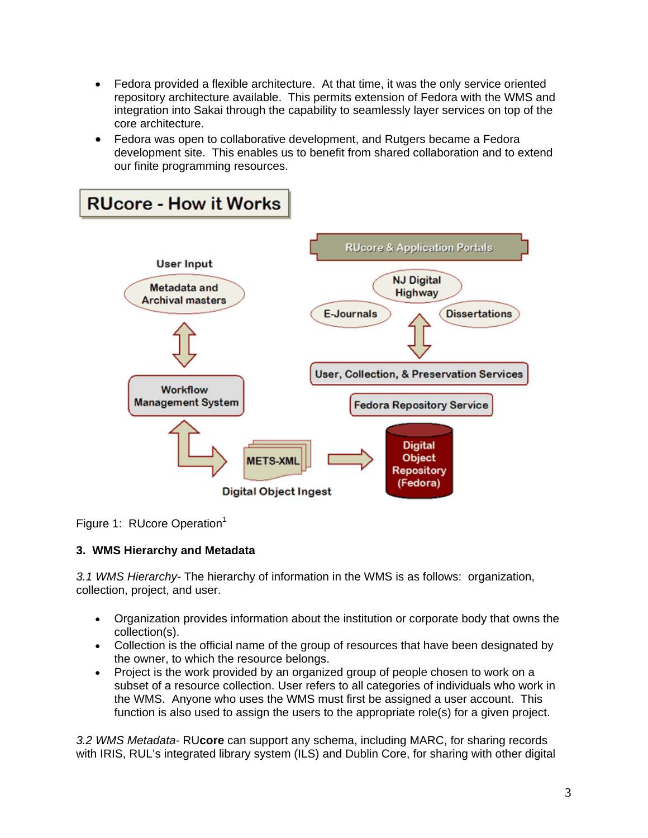- Fedora provided a flexible architecture. At that time, it was the only service oriented repository architecture available. This permits extension of Fedora with the WMS and integration into Sakai through the capability to seamlessly layer services on top of the core architecture.
- Fedora was open to collaborative development, and Rutgers became a Fedora development site. This enables us to benefit from shared collaboration and to extend our finite programming resources.



Figure 1: RUcore Operation<sup>1</sup>

## **3. WMS Hierarchy and Metadata**

*3.1 WMS Hierarchy-* The hierarchy of information in the WMS is as follows: organization, collection, project, and user.

- Organization provides information about the institution or corporate body that owns the collection(s).
- Collection is the official name of the group of resources that have been designated by the owner, to which the resource belongs.
- Project is the work provided by an organized group of people chosen to work on a subset of a resource collection. User refers to all categories of individuals who work in the WMS. Anyone who uses the WMS must first be assigned a user account. This function is also used to assign the users to the appropriate role(s) for a given project.

*3.2 WMS Metadata-* RU**core** can support any schema, including MARC, for sharing records with IRIS, RUL's integrated library system (ILS) and Dublin Core, for sharing with other digital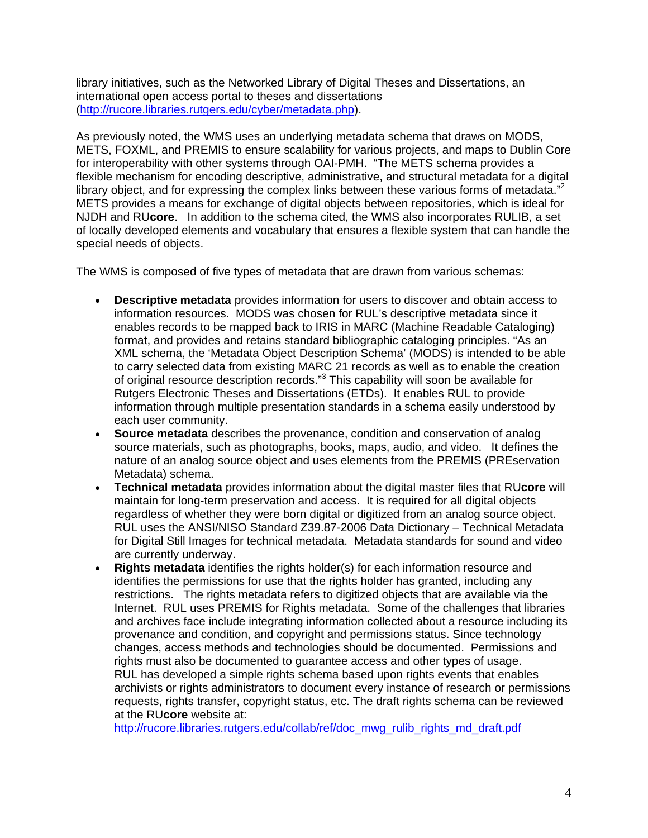library initiatives, such as the Networked Library of Digital Theses and Dissertations, an international open access portal to theses and dissertations ([http://rucore.libraries.rutgers.edu/cyber/metadata.php\)](http://rucore.libraries.rutgers.edu/cyber/metadata.php).

As previously noted, the WMS uses an underlying metadata schema that draws on MODS, METS, FOXML, and PREMIS to ensure scalability for various projects, and maps to Dublin Core for interoperability with other systems through OAI-PMH. "The METS schema provides a flexible mechanism for encoding descriptive, administrative, and structural metadata for a digital library object, and for expressing the complex links between these various forms of metadata."<sup>2</sup> METS provides a means for exchange of digital objects between repositories, which is ideal for NJDH and RU**core**. In addition to the schema cited, the WMS also incorporates RULIB, a set of locally developed elements and vocabulary that ensures a flexible system that can handle the special needs of objects.

The WMS is composed of five types of metadata that are drawn from various schemas:

- **Descriptive metadata** provides information for users to discover and obtain access to information resources. MODS was chosen for RUL's descriptive metadata since it enables records to be mapped back to IRIS in MARC (Machine Readable Cataloging) format, and provides and retains standard bibliographic cataloging principles. "As an XML schema, the 'Metadata Object Description Schema' (MODS) is intended to be able to carry selected data from existing MARC 21 records as well as to enable the creation of original resource description records."<sup>3</sup> This capability will soon be available for Rutgers Electronic Theses and Dissertations (ETDs). It enables RUL to provide information through multiple presentation standards in a schema easily understood by each user community.
- **Source metadata** describes the provenance, condition and conservation of analog source materials, such as photographs, books, maps, audio, and video. It defines the nature of an analog source object and uses elements from the PREMIS (PREservation Metadata) schema.
- **Technical metadata** provides information about the digital master files that RU**core** will maintain for long-term preservation and access. It is required for all digital objects regardless of whether they were born digital or digitized from an analog source object. RUL uses the ANSI/NISO Standard Z39.87-2006 Data Dictionary – Technical Metadata for Digital Still Images for technical metadata. Metadata standards for sound and video are currently underway.
- **Rights metadata** identifies the rights holder(s) for each information resource and identifies the permissions for use that the rights holder has granted, including any restrictions. The rights metadata refers to digitized objects that are available via the Internet. RUL uses PREMIS for Rights metadata. Some of the challenges that libraries and archives face include integrating information collected about a resource including its provenance and condition, and copyright and permissions status. Since technology changes, access methods and technologies should be documented. Permissions and rights must also be documented to guarantee access and other types of usage. RUL has developed a simple rights schema based upon rights events that enables archivists or rights administrators to document every instance of research or permissions requests, rights transfer, copyright status, etc. The draft rights schema can be reviewed at the RU**core** website at:

[http://rucore.libraries.rutgers.edu/collab/ref/doc\\_mwg\\_rulib\\_rights\\_md\\_draft.pdf](http://rucore.libraries.rutgers.edu/collab/ref/doc_mwg_rulib_rights_md_draft.pdf)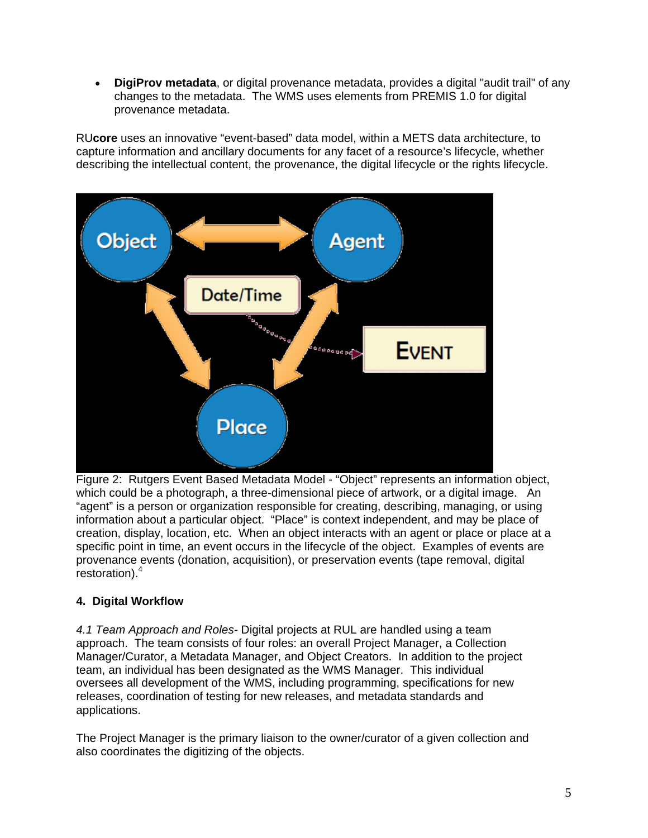• **DigiProv metadata**, or digital provenance metadata, provides a digital "audit trail" of any changes to the metadata. The WMS uses elements from PREMIS 1.0 for digital provenance metadata.

RU**core** uses an innovative "event-based" data model, within a METS data architecture, to capture information and ancillary documents for any facet of a resource's lifecycle, whether describing the intellectual content, the provenance, the digital lifecycle or the rights lifecycle.



Figure 2: Rutgers Event Based Metadata Model - "Object" represents an information object, which could be a photograph, a three-dimensional piece of artwork, or a digital image. An "agent" is a person or organization responsible for creating, describing, managing, or using information about a particular object. "Place" is context independent, and may be place of creation, display, location, etc. When an object interacts with an agent or place or place at a specific point in time, an event occurs in the lifecycle of the object. Examples of events are provenance events (donation, acquisition), or preservation events (tape removal, digital restoration).4

# **4. Digital Workflow**

*4.1 Team Approach and Roles-* Digital projects at RUL are handled using a team approach. The team consists of four roles: an overall Project Manager, a Collection Manager/Curator, a Metadata Manager, and Object Creators. In addition to the project team, an individual has been designated as the WMS Manager. This individual oversees all development of the WMS, including programming, specifications for new releases, coordination of testing for new releases, and metadata standards and applications.

The Project Manager is the primary liaison to the owner/curator of a given collection and also coordinates the digitizing of the objects.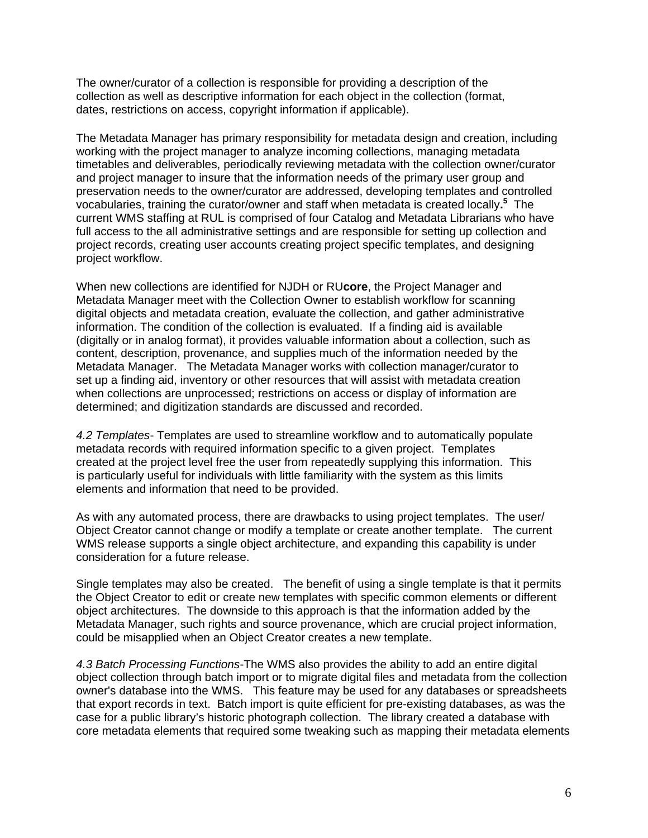The owner/curator of a collection is responsible for providing a description of the collection as well as descriptive information for each object in the collection (format, dates, restrictions on access, copyright information if applicable).

The Metadata Manager has primary responsibility for metadata design and creation, including working with the project manager to analyze incoming collections, managing metadata timetables and deliverables, periodically reviewing metadata with the collection owner/curator and project manager to insure that the information needs of the primary user group and preservation needs to the owner/curator are addressed, developing templates and controlled vocabularies, training the curator/owner and staff when metadata is created locally**. 5** The current WMS staffing at RUL is comprised of four Catalog and Metadata Librarians who have full access to the all administrative settings and are responsible for setting up collection and project records, creating user accounts creating project specific templates, and designing project workflow.

When new collections are identified for NJDH or RU**core**, the Project Manager and Metadata Manager meet with the Collection Owner to establish workflow for scanning digital objects and metadata creation, evaluate the collection, and gather administrative information. The condition of the collection is evaluated. If a finding aid is available (digitally or in analog format), it provides valuable information about a collection, such as content, description, provenance, and supplies much of the information needed by the Metadata Manager. The Metadata Manager works with collection manager/curator to set up a finding aid, inventory or other resources that will assist with metadata creation when collections are unprocessed; restrictions on access or display of information are determined; and digitization standards are discussed and recorded.

*4.2 Templates-* Templates are used to streamline workflow and to automatically populate metadata records with required information specific to a given project. Templates created at the project level free the user from repeatedly supplying this information. This is particularly useful for individuals with little familiarity with the system as this limits elements and information that need to be provided.

As with any automated process, there are drawbacks to using project templates. The user/ Object Creator cannot change or modify a template or create another template. The current WMS release supports a single object architecture, and expanding this capability is under consideration for a future release.

Single templates may also be created. The benefit of using a single template is that it permits the Object Creator to edit or create new templates with specific common elements or different object architectures. The downside to this approach is that the information added by the Metadata Manager, such rights and source provenance, which are crucial project information, could be misapplied when an Object Creator creates a new template.

*4.3 Batch Processing Functions-*The WMS also provides the ability to add an entire digital object collection through batch import or to migrate digital files and metadata from the collection owner's database into the WMS. This feature may be used for any databases or spreadsheets that export records in text. Batch import is quite efficient for pre-existing databases, as was the case for a public library's historic photograph collection. The library created a database with core metadata elements that required some tweaking such as mapping their metadata elements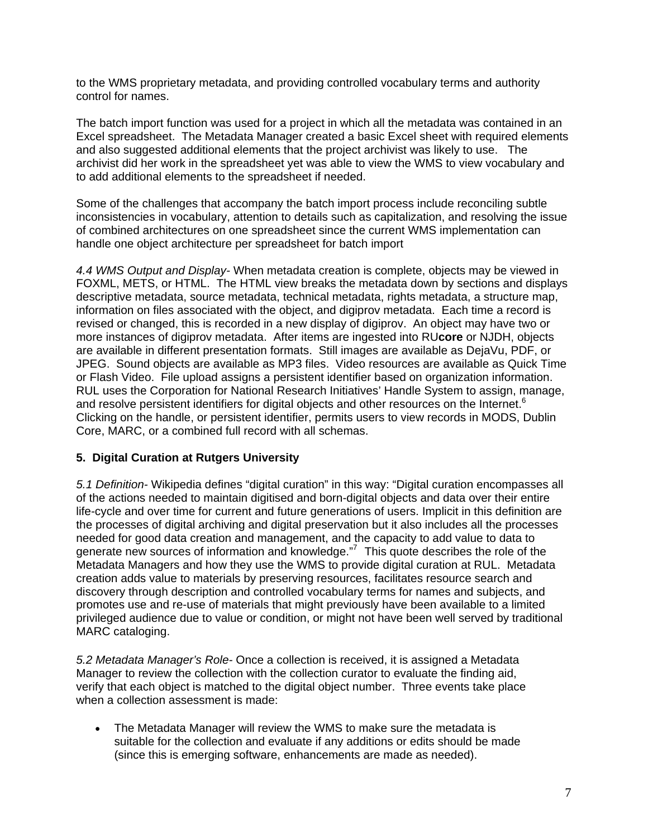to the WMS proprietary metadata, and providing controlled vocabulary terms and authority control for names.

The batch import function was used for a project in which all the metadata was contained in an Excel spreadsheet. The Metadata Manager created a basic Excel sheet with required elements and also suggested additional elements that the project archivist was likely to use. The archivist did her work in the spreadsheet yet was able to view the WMS to view vocabulary and to add additional elements to the spreadsheet if needed.

Some of the challenges that accompany the batch import process include reconciling subtle inconsistencies in vocabulary, attention to details such as capitalization, and resolving the issue of combined architectures on one spreadsheet since the current WMS implementation can handle one object architecture per spreadsheet for batch import

*4.4 WMS Output and Display-* When metadata creation is complete, objects may be viewed in FOXML, METS, or HTML. The HTML view breaks the metadata down by sections and displays descriptive metadata, source metadata, technical metadata, rights metadata, a structure map, information on files associated with the object, and digiprov metadata. Each time a record is revised or changed, this is recorded in a new display of digiprov. An object may have two or more instances of digiprov metadata. After items are ingested into RU**core** or NJDH, objects are available in different presentation formats. Still images are available as DejaVu, PDF, or JPEG. Sound objects are available as MP3 files. Video resources are available as Quick Time or Flash Video. File upload assigns a persistent identifier based on organization information. RUL uses the Corporation for National Research Initiatives' Handle System to assign, manage, and resolve persistent identifiers for digital objects and other resources on the Internet.<sup>6</sup> Clicking on the handle, or persistent identifier, permits users to view records in MODS, Dublin Core, MARC, or a combined full record with all schemas.

#### **5. Digital Curation at Rutgers University**

*5.1 Definition-* Wikipedia defines "digital curation" in this way: "Digital curation encompasses all of the actions needed to maintain digitised and born-digital objects and data over their entire life-cycle and over time for current and future generations of users. Implicit in this definition are the processes of digital archiving and digital preservation but it also includes all the processes needed for good data creation and management, and the capacity to add value to data to generate new sources of information and knowledge."7 This quote describes the role of the Metadata Managers and how they use the WMS to provide digital curation at RUL. Metadata creation adds value to materials by preserving resources, facilitates resource search and discovery through description and controlled vocabulary terms for names and subjects, and promotes use and re-use of materials that might previously have been available to a limited privileged audience due to value or condition, or might not have been well served by traditional MARC cataloging.

*5.2 Metadata Manager's Role-* Once a collection is received, it is assigned a Metadata Manager to review the collection with the collection curator to evaluate the finding aid, verify that each object is matched to the digital object number. Three events take place when a collection assessment is made:

• The Metadata Manager will review the WMS to make sure the metadata is suitable for the collection and evaluate if any additions or edits should be made (since this is emerging software, enhancements are made as needed).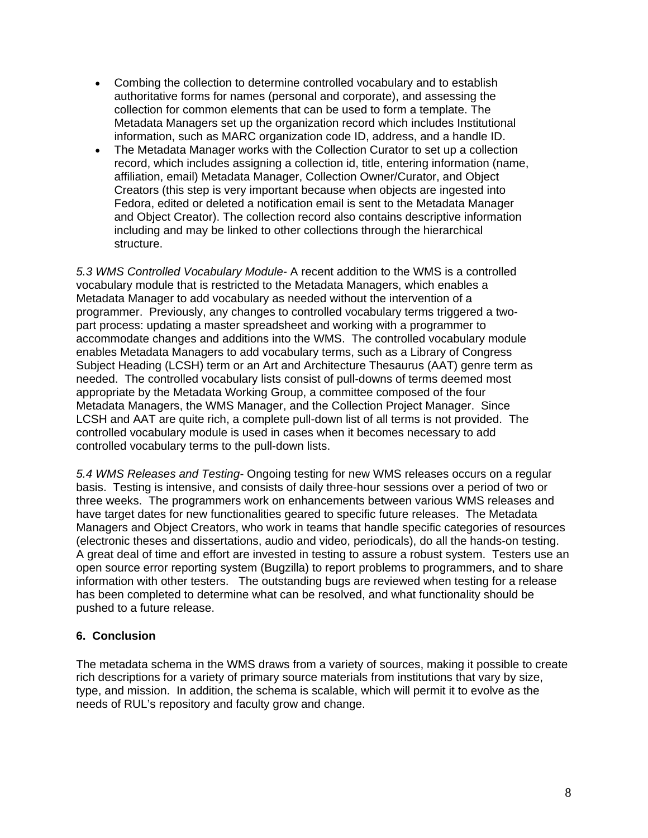- Combing the collection to determine controlled vocabulary and to establish authoritative forms for names (personal and corporate), and assessing the collection for common elements that can be used to form a template. The Metadata Managers set up the organization record which includes Institutional information, such as MARC organization code ID, address, and a handle ID.
- The Metadata Manager works with the Collection Curator to set up a collection record, which includes assigning a collection id, title, entering information (name, affiliation, email) Metadata Manager, Collection Owner/Curator, and Object Creators (this step is very important because when objects are ingested into Fedora, edited or deleted a notification email is sent to the Metadata Manager and Object Creator). The collection record also contains descriptive information including and may be linked to other collections through the hierarchical structure.

*5.3 WMS Controlled Vocabulary Module-* A recent addition to the WMS is a controlled vocabulary module that is restricted to the Metadata Managers, which enables a Metadata Manager to add vocabulary as needed without the intervention of a programmer. Previously, any changes to controlled vocabulary terms triggered a twopart process: updating a master spreadsheet and working with a programmer to accommodate changes and additions into the WMS. The controlled vocabulary module enables Metadata Managers to add vocabulary terms, such as a Library of Congress Subject Heading (LCSH) term or an Art and Architecture Thesaurus (AAT) genre term as needed. The controlled vocabulary lists consist of pull-downs of terms deemed most appropriate by the Metadata Working Group, a committee composed of the four Metadata Managers, the WMS Manager, and the Collection Project Manager. Since LCSH and AAT are quite rich, a complete pull-down list of all terms is not provided. The controlled vocabulary module is used in cases when it becomes necessary to add controlled vocabulary terms to the pull-down lists.

*5.4 WMS Releases and Testing-* Ongoing testing for new WMS releases occurs on a regular basis. Testing is intensive, and consists of daily three-hour sessions over a period of two or three weeks. The programmers work on enhancements between various WMS releases and have target dates for new functionalities geared to specific future releases. The Metadata Managers and Object Creators, who work in teams that handle specific categories of resources (electronic theses and dissertations, audio and video, periodicals), do all the hands-on testing. A great deal of time and effort are invested in testing to assure a robust system. Testers use an open source error reporting system (Bugzilla) to report problems to programmers, and to share information with other testers. The outstanding bugs are reviewed when testing for a release has been completed to determine what can be resolved, and what functionality should be pushed to a future release.

## **6. Conclusion**

The metadata schema in the WMS draws from a variety of sources, making it possible to create rich descriptions for a variety of primary source materials from institutions that vary by size, type, and mission. In addition, the schema is scalable, which will permit it to evolve as the needs of RUL's repository and faculty grow and change.